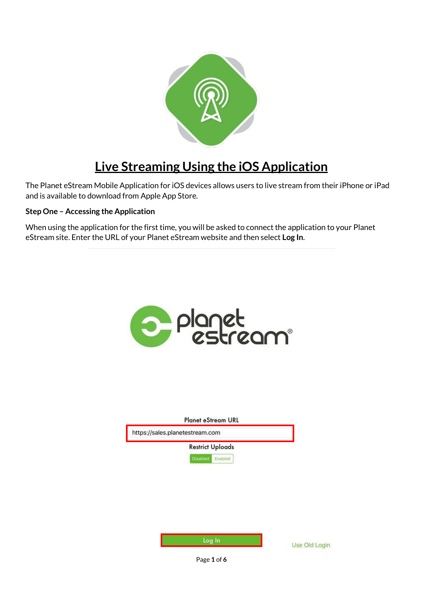

## **Live Streaming Using the iOS Application**

The Planet eStream Mobile Application for iOS devices allows users to live stream from their iPhone or iPad and is available to download from Apple App Store.

## **Step One – Accessing the Application**

When using the application for the first time, you will be asked to connect the application to your Planet eStream site. Enter the URL of your Planet eStream website and then select **Log In**.

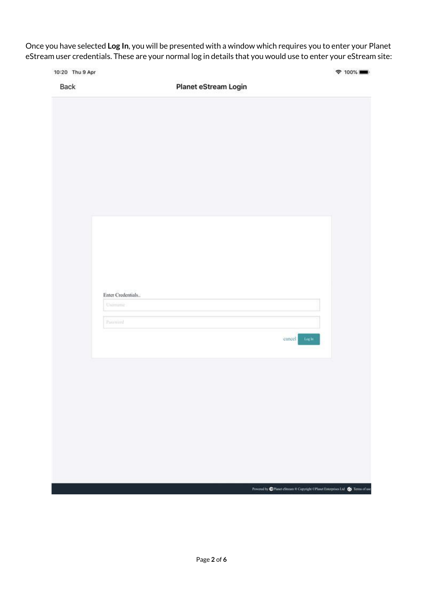Once you have selected **Log In**, you will be presented with a window which requires you to enter your Planet eStream user credentials. These are your normal log in details that you would use to enter your eStream site:

|      | 10:20 Thu 9 Apr                      |                      |              | <b><math>\approx</math> 100% ■■</b> |
|------|--------------------------------------|----------------------|--------------|-------------------------------------|
| Back |                                      | Planet eStream Login |              |                                     |
|      |                                      |                      |              |                                     |
|      |                                      |                      |              |                                     |
|      |                                      |                      |              |                                     |
|      |                                      |                      |              |                                     |
|      |                                      |                      |              |                                     |
|      |                                      |                      |              |                                     |
|      |                                      |                      |              |                                     |
|      |                                      |                      |              |                                     |
|      |                                      |                      |              |                                     |
|      |                                      |                      |              |                                     |
|      |                                      |                      |              |                                     |
|      |                                      |                      |              |                                     |
|      |                                      |                      |              |                                     |
|      |                                      |                      |              |                                     |
|      |                                      |                      |              |                                     |
|      |                                      |                      |              |                                     |
|      |                                      |                      |              |                                     |
|      | Enter Credentials<br><b>Usiniana</b> |                      |              |                                     |
|      |                                      |                      |              |                                     |
|      | Password                             |                      |              |                                     |
|      |                                      |                      | cancel Loght |                                     |
|      |                                      |                      |              |                                     |
|      |                                      |                      |              |                                     |
|      |                                      |                      |              |                                     |
|      |                                      |                      |              |                                     |
|      |                                      |                      |              |                                     |
|      |                                      |                      |              |                                     |
|      |                                      |                      |              |                                     |
|      |                                      |                      |              |                                     |
|      |                                      |                      |              |                                     |
|      |                                      |                      |              |                                     |
|      |                                      |                      |              |                                     |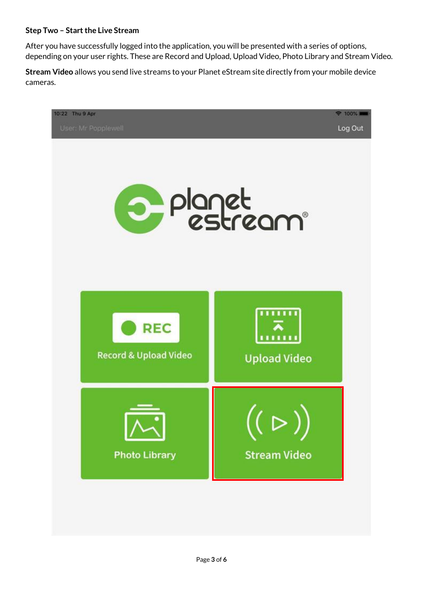## **Step Two – Start the Live Stream**

After you have successfully logged into the application, you will be presented with a series of options, depending on your user rights. These are Record and Upload, Upload Video, Photo Library and Stream Video.

**Stream Video** allows you send live streams to your Planet eStream site directly from your mobile device cameras.

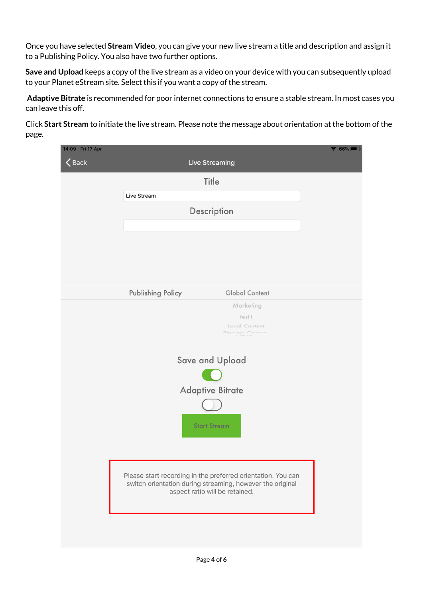Once you have selected **Stream Video**, you can give your new live stream a title and description and assign it to a Publishing Policy. You also have two further options.

**Save and Upload** keeps a copy of the live stream as a video on your device with you can subsequently upload to your Planet eStream site. Select this if you want a copy of the stream.

**Adaptive Bitrate** is recommended for poor internet connections to ensure a stable stream. In most cases you can leave this off.

Click **Start Stream** to initiate the live stream. Please note the message about orientation at the bottom of the page.

| 14:09 Fri 17 Apr |                          |                                                                                                                           | $\widehat{\bullet}$ 66% $\blacksquare$ |
|------------------|--------------------------|---------------------------------------------------------------------------------------------------------------------------|----------------------------------------|
| $\bigwedge$ Back |                          | <b>Live Streaming</b>                                                                                                     |                                        |
|                  |                          | Title                                                                                                                     |                                        |
|                  | Live Stream              |                                                                                                                           |                                        |
|                  |                          | Description                                                                                                               |                                        |
|                  |                          |                                                                                                                           |                                        |
|                  |                          |                                                                                                                           |                                        |
|                  |                          |                                                                                                                           |                                        |
|                  |                          |                                                                                                                           |                                        |
|                  |                          |                                                                                                                           |                                        |
|                  | <b>Publishing Policy</b> | <b>Global Content</b><br>Marketing                                                                                        |                                        |
|                  |                          | test1                                                                                                                     |                                        |
|                  |                          | Local Content<br>Signage Content                                                                                          |                                        |
|                  |                          |                                                                                                                           |                                        |
|                  |                          | Save and Upload                                                                                                           |                                        |
|                  |                          |                                                                                                                           |                                        |
|                  |                          | <b>Adaptive Bitrate</b>                                                                                                   |                                        |
|                  |                          |                                                                                                                           |                                        |
|                  |                          |                                                                                                                           |                                        |
|                  |                          | <b>Start Stream</b>                                                                                                       |                                        |
|                  |                          |                                                                                                                           |                                        |
|                  |                          |                                                                                                                           |                                        |
|                  |                          | Please start recording in the preferred orientation. You can<br>switch orientation during streaming, however the original |                                        |
|                  |                          | aspect ratio will be retained.                                                                                            |                                        |
|                  |                          |                                                                                                                           |                                        |
|                  |                          |                                                                                                                           |                                        |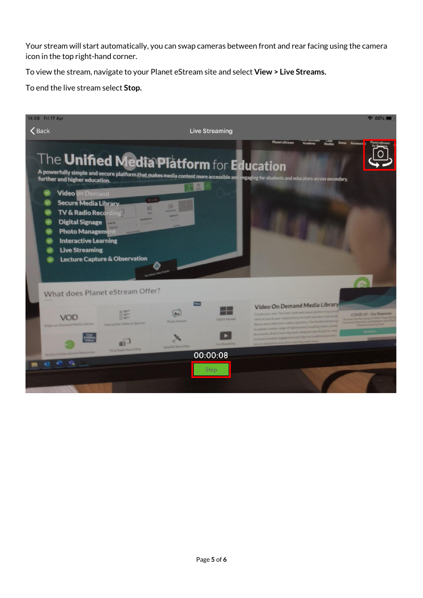Your stream will start automatically, you can swap cameras between front and rear facing using the camera icon in the top right-hand corner.

To view the stream, navigate to your Planet eStream site and select **View > Live Streams.** 

To end the live stream select **Stop.**